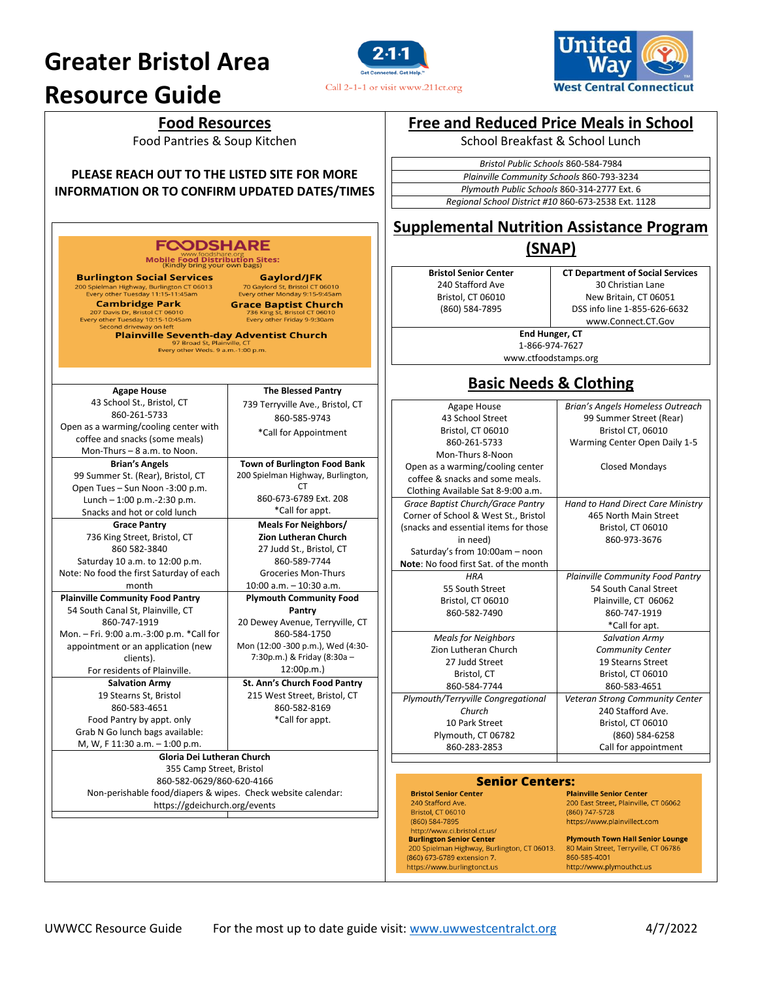# **Greater Bristol Area**

# **Resource Guide**





Food Pantries & Soup Kitchen

**PLEASE REACH OUT TO THE LISTED SITE FOR MORE INFORMATION OR TO CONFIRM UPDATED DATES/TIMES**

### **FCODSHARE**

www.foodshare.org<br>**Mobile Food Distribution Sites:**<br>(Kindly bring your own bags)

**Burlington Social Services** 

207 Davis Dr, Bristol CT 06010<br>Every other Tuesday 10:15-10:45am<br>Second driveway on left

**Burlington Social Services**<br>
200 Spielman Highway, Burlington CT 06013<br>
<sup>70</sup> Gaylord St, Bristol CT 06010<br>
Every other Tuesday 11:15-11:45am<br> **Cann Fire Toron Control CT 06012**<br>
207 Davis Dr, Bristol CT 06010<br>
Every other

**Gaylord/JFK** 

Plainville Seventh-day Adventist Church

| 97 Broad St, Plainville, CT<br>Every other Weds. 9 a.m.-1:00 p.m. |                                     |  |  |
|-------------------------------------------------------------------|-------------------------------------|--|--|
|                                                                   |                                     |  |  |
| <b>Agape House</b>                                                | <b>The Blessed Pantry</b>           |  |  |
| 43 School St., Bristol, CT                                        | 739 Terryville Ave., Bristol, CT    |  |  |
| 860-261-5733                                                      | 860-585-9743                        |  |  |
| Open as a warming/cooling center with                             | *Call for Appointment               |  |  |
| coffee and snacks (some meals)                                    |                                     |  |  |
| Mon-Thurs - 8 a.m. to Noon.                                       |                                     |  |  |
| <b>Brian's Angels</b>                                             | <b>Town of Burlington Food Bank</b> |  |  |
| 99 Summer St. (Rear), Bristol, CT                                 | 200 Spielman Highway, Burlington,   |  |  |
| Open Tues - Sun Noon -3:00 p.m.                                   | СT                                  |  |  |
| Lunch $-1:00$ p.m.-2:30 p.m.                                      | 860-673-6789 Ext. 208               |  |  |
| Snacks and hot or cold lunch                                      | *Call for appt.                     |  |  |
| <b>Grace Pantry</b>                                               | <b>Meals For Neighbors/</b>         |  |  |
| 736 King Street, Bristol, CT                                      | <b>Zion Lutheran Church</b>         |  |  |
| 860 582-3840                                                      | 27 Judd St., Bristol, CT            |  |  |
| Saturday 10 a.m. to 12:00 p.m.                                    | 860-589-7744                        |  |  |
| Note: No food the first Saturday of each                          | <b>Groceries Mon-Thurs</b>          |  |  |
| month                                                             | $10:00$ a.m. $-10:30$ a.m.          |  |  |
| <b>Plainville Community Food Pantry</b>                           | <b>Plymouth Community Food</b>      |  |  |
| 54 South Canal St, Plainville, CT                                 | Pantry                              |  |  |
| 860-747-1919                                                      | 20 Dewey Avenue, Terryville, CT     |  |  |
| Mon. - Fri. 9:00 a.m.-3:00 p.m. *Call for                         | 860-584-1750                        |  |  |
| appointment or an application (new                                | Mon (12:00 -300 p.m.), Wed (4:30-   |  |  |
| clients).                                                         | 7:30p.m.) & Friday (8:30a -         |  |  |
| For residents of Plainville.                                      | 12:00p.m.                           |  |  |
| <b>Salvation Army</b>                                             | St. Ann's Church Food Pantry        |  |  |
| 19 Stearns St, Bristol                                            | 215 West Street, Bristol, CT        |  |  |
| 860-583-4651                                                      | 860-582-8169                        |  |  |
| Food Pantry by appt. only                                         | *Call for appt.                     |  |  |
| Grab N Go lunch bags available:                                   |                                     |  |  |
| M, W, F 11:30 a.m. - 1:00 p.m.                                    |                                     |  |  |
| Gloria Dei Lutheran Church                                        |                                     |  |  |
| 355 Camp Street, Bristol                                          |                                     |  |  |
| 860-582-0629/860-620-4166                                         |                                     |  |  |

Non-perishable food/diapers & wipes. Check website calendar: https://gdeichurch.org/events

# **Free and Reduced Price Meals in School**

School Breakfast & School Lunch

| Bristol Public Schools 860-584-7984                 |
|-----------------------------------------------------|
| Plainville Community Schools 860-793-3234           |
| Plymouth Public Schools 860-314-2777 Ext. 6         |
| Regional School District #10 860-673-2538 Ext. 1128 |

# **Supplemental Nutrition Assistance Program**

# **(SNAP)**

**Bristol Senior Center** 240 Stafford Ave Bristol, CT 06010 (860) 584-7895

**CT Department of Social Services** 30 Christian Lane New Britain, CT 06051 DSS info line 1-855-626-6632 www.Connect.CT.Gov

**End Hunger, CT** 1-866-974-7627

www.ctfoodstamps.org

## **Basic Needs & Clothing**

| 99 Summer Street (Rear)<br>Bristol CT, 06010<br>Warming Center Open Daily 1-5 |
|-------------------------------------------------------------------------------|
|                                                                               |
|                                                                               |
|                                                                               |
|                                                                               |
| <b>Closed Mondays</b>                                                         |
|                                                                               |
|                                                                               |
| <b>Hand to Hand Direct Care Ministry</b>                                      |
| 465 North Main Street                                                         |
| Bristol. CT 06010                                                             |
| 860-973-3676                                                                  |
|                                                                               |
|                                                                               |
| <b>Plainville Community Food Pantry</b>                                       |
| 54 South Canal Street                                                         |
| Plainville, CT 06062                                                          |
| 860-747-1919                                                                  |
| *Call for apt.                                                                |
| <b>Salvation Army</b>                                                         |
| <b>Community Center</b>                                                       |
| 19 Stearns Street                                                             |
| Bristol, CT 06010                                                             |
| 860-583-4651                                                                  |
| Veteran Strong Community Center                                               |
| 240 Stafford Ave.                                                             |
| Bristol, CT 06010                                                             |
| (860) 584-6258                                                                |
| Call for appointment                                                          |
|                                                                               |
| Senior Centers:                                                               |
|                                                                               |

**Bristol Senior Center** 240 Stafford Ave. Bristol, CT 06010  $(860) 584-7895$ http://www.ci.bristol.ct.us/ **Burlington Senior Center** 200 Spielman Highway, Burlington, CT 06013. (860) 673-6789 extension 7. https://www.burlingtonct.us

**Plainville Senior Center** 200 East Street, Plainville, CT 06062  $(860) 747 - 5728$ https://www.plainvillect.com

**Plymouth Town Hall Senior Lounge** 80 Main Street, Terryville, CT 06786 860-585-4001 http://www.plymouthct.us